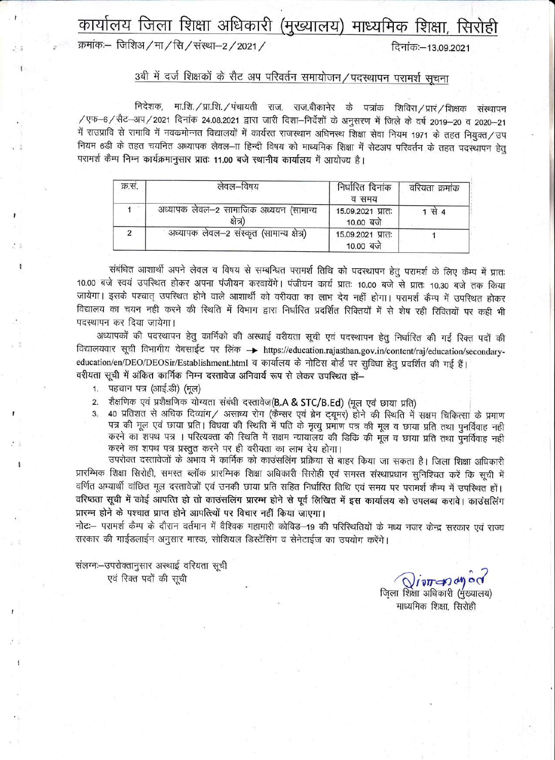### कार्यालय जिला शिक्षा अधिकारी (मुख्यालय) माध्यमिक शिक्षा, सिरोही

#### क्रमांकः– जिशिअ / मा / सि / संस्था–2 / 2021 /

दिनांक:-13.09.2021

#### 3बी में दर्ज शिक्षकों के सैट अप परिवर्तन समायोजन ⁄ पदस्थापन परामर्श सचना

निदेशक, मा.शि. / प्रा.शि. / पंचायती राज. राज.बीकानेर के पत्रांक शिविरा / प्रारं / शिक्षक संस्थापन /एफ-6/सैट-अप/2021 दिनांक 24.08.2021 द्वारा जारी दिशा-निर्देशों के अनुसरण में जिले के वर्ष 2019-20 व 2020-21 में राउप्रावि से रामावि में नवकमोन्नत विद्यालयों में कार्यरत राजस्थान अधिनस्थ शिक्षा सेवा नियम 1971 के तहत नियुक्त/उप नियम 6डी के तहत चयनित अध्यापक लेवल-ाा हिन्दी विषय को माध्यमिक शिक्षा में सेटअप परिवर्तन के तहत पदस्थापन हेतु परामर्श कैम्प निम्न कार्यक्रमानुसार प्रातः 11.00 बजे स्थानीय कार्यालय में आयोज्य है।

| क्र.स. | लेवल—विषय                                          | निर्धारित दिनांक<br>व समय      | वरियता क्रमांक |
|--------|----------------------------------------------------|--------------------------------|----------------|
|        | अध्यापक लेवल-2 सामाजिक अध्ययन (सामान्य<br>क्षेत्र) | 15.09.2021 प्रातः<br>10.00 बजे | $1 \n{R}$ 4    |
|        | अध्यापक लेवल-2 संस्कृत (सामान्य क्षेत्र)           | 15.09.2021 प्रातः<br>10.00 बजे |                |

संबंधित आशार्थी अपने लेवल व विषय से सम्बन्धित परामर्श तिथि को पदस्थापन हेतु परामर्श के लिए कैम्प में प्रातः 10.00 बजे स्वयं उपस्थित होकर अपना पंजीयन करवायेंगे। पंजीयन कार्य प्रातः 10.00 बजे से प्रातः 10.30 बजे तक किया जायेगा। इसके पश्चात् उपस्थित होने वाले आशार्थी को वरीयता का लाभ देय नहीं होगा। परामर्श कैम्प में उपस्थित होकर विद्यालय का चयन नही करने की स्थिति में विभाग द्वारा निर्धारित प्रदर्शित रिक्तियों में से शेष रही रिक्तियों पर कही भी पदस्थापन कर दिया जायेगा।

अध्यापकों की पदस्थापन हेतु कार्मिको की अस्थाई वरीयता सूची एवं पदस्थापन हेतु निर्धारित की गई रिक्त पदों की विद्यालयवार सूची विभागीय वेबसाईट पर लिंक -> https://education.rajasthan.gov.in/content/raj/education/secondaryeducation/en/DEO/DEOSir/Establishment.html व कार्यालय के नोटिस बोर्ड पर सुविधा हेतु प्रदर्शित की गई हैं। वरीयता सूची में अंकित कार्मिक निम्न दस्तावेज अनिवार्य रूप से लेकर उपस्थित हों-

1. पहचान पत्र (आई.डी) (मूल)

शैक्षणिक एवं प्रशैक्षणिक योग्यता संबंधी दस्तावेज(B.A & STC/B.Ed) (मूल एवं छाया प्रति)  $\overline{2}$ 

40 प्रतिशत से अधिक दिव्यांग/ असाध्य रोग (कैन्सर एवं ब्रेन टयूमर) होने की स्थिति में सक्षम चिकित्सा के प्रमाण पत्र की मूल एवं छाया प्रति। विधवा की स्थिति में पति के मृत्यू प्रमाण पत्र की मूल व छाया प्रति तथा पुनर्विवाह नही करने का शपथ पत्र । परित्यक्ता की स्थिति में सक्षम न्यायालय की डिकि की मूल व छाया प्रति तथा पुनर्विवाह नही करने का शपथ पत्र प्रस्तुत करने पर ही वरीयता का लाभ देय होगा।

उपरोक्त दस्तावेजों के अभाव में कार्मिक को काउंसलिंग प्रक्रिया से बाहर किया जा सकता है। जिला शिक्षा अधिकारी प्रारम्भिक शिक्षा सिरोही, समस्त ब्लॉक प्रारम्भिक शिक्षा अधिकारी सिरोही एवं समस्त संस्थाप्रधान सुनिश्चित करें कि सूची में वर्णित अभ्यार्थी वांछित मूल दस्तावेजों एवं उनकी छाया प्रति सहित निर्धारित तिथि एवं समय पर परामर्श कैम्प में उपस्थित हों। वरिष्ठता सूची में कोई आपत्ति हो तो काउंसलिंग प्रारम्भ होने से पूर्व लिखित में इस कार्यालय को उपलब्ध करावे। काउंसलिंग प्रारम्भ होने के पश्चात प्राप्त होने आपत्त्यों पर विचार नहीं किया जाएगा।

नोट:-- परामर्श कैम्प के दौरान वर्तमान में वैश्विक महामारी कोविड-19 की परिस्थितियों के मध्य नजर केन्द्र सरकार एवं राज्य सरकार की गाईडलाईन अनुसार मास्क, सोशियल डिस्टेंसिंग व सेनेटाईज का उपयोग करेंगे।

संलग्नः-उपरोक्तानुसार अस्थाई वरियता सूची एवं रिक्त पदों की सूची

Vivoranagod जिला शिक्षा अधिकारी (मुख्यालय)

माध्यमिक शिक्षा, सिरोही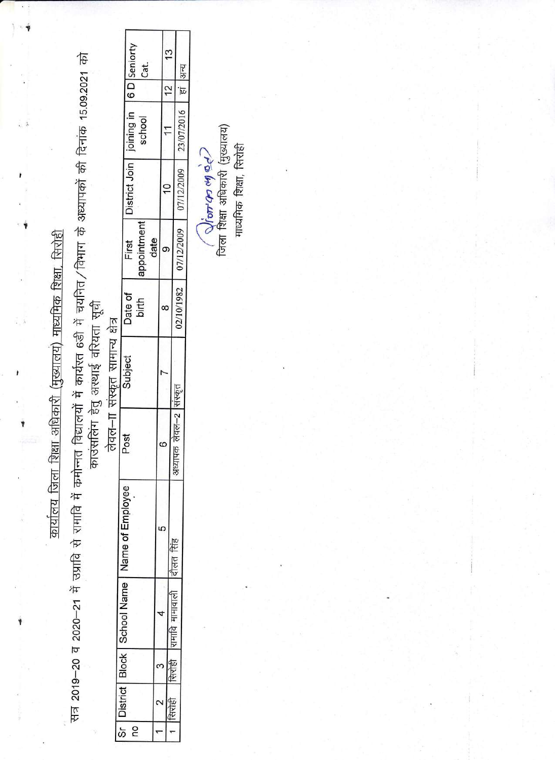कार्यालय जिला शिक्षा अधिकारी (मुख्यालय) माध्यमिक शिक्षा, सिरोही

 $\overline{\phantom{a}}$ 

Ý

सत्र 2019–20 व 2020–21 में उप्रावि से रामावि में कमोन्नत विद्यालयों में कार्यरत 6डी में चयनित/विभाग के अध्यापकों की दिनांक 15.09.2021 को

काउंसलिंग हेतु अस्थाई वरियता सूची

लेवल-ाा संस्कृत सामान्य क्षेत्र

|                                                                                                                                                                      | eniorty<br>Cat.                     |      | $\mathbf{c}$ |     | हा  अन्य                |  |
|----------------------------------------------------------------------------------------------------------------------------------------------------------------------|-------------------------------------|------|--------------|-----|-------------------------|--|
|                                                                                                                                                                      | R<br>D i                            |      |              |     |                         |  |
|                                                                                                                                                                      | ni priniol<br>school                |      |              |     | 23/07/2016              |  |
|                                                                                                                                                                      | District Join                       |      |              |     | 07/12/2009              |  |
|                                                                                                                                                                      | appointment<br>First                | date |              |     | 07/12/2009              |  |
| $\begin{array}{c} \begin{array}{c} \begin{array}{c} \begin{array}{c} \end{array} \\ \end{array} \\ \begin{array}{c} \end{array} \end{array} \end{array} \end{array}$ | Date of<br>birth                    |      |              |     | 02/10/1982              |  |
| j<br>J                                                                                                                                                               | Subject                             |      |              |     |                         |  |
|                                                                                                                                                                      | Post                                |      |              |     | पल $-2$<br>Ē<br>अध्यापक |  |
|                                                                                                                                                                      | Name of Employee                    |      |              |     |                         |  |
|                                                                                                                                                                      | Sr   District   Block   School Name |      |              |     |                         |  |
|                                                                                                                                                                      |                                     |      |              | 서시동 |                         |  |
|                                                                                                                                                                      |                                     |      |              |     |                         |  |
|                                                                                                                                                                      | 0U                                  |      |              |     |                         |  |

( शिं*ठान का अं* 947)<br>जिला शिक्षा अधिकारी (मुख्यालय) माध्यमिक शिक्षा, सिरोही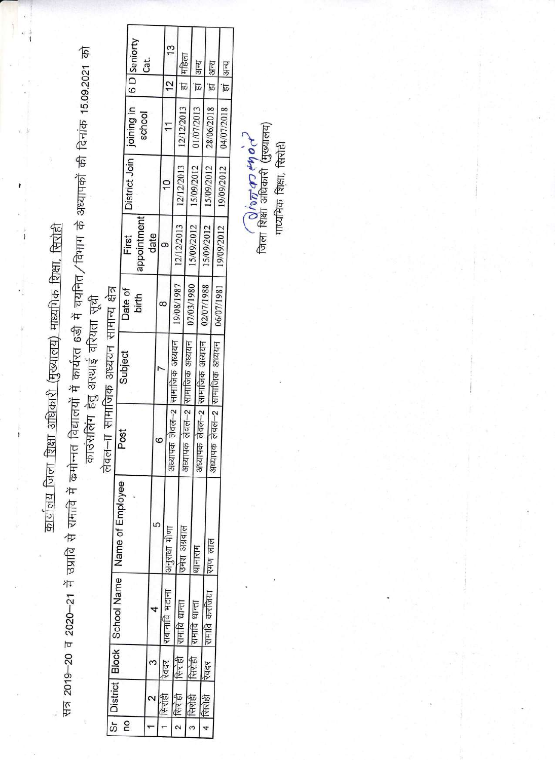कार्यालय जिला शिक्षा अधिकारी (मुख्यालय) माध्यमिक शिक्षा, सिरोही

 $\pmb{i}$ 

 $\ddot{i}$ 

सत्र 2019–20 व 2020–21 में उप्रावि से रामांवि में कमोन्नत विद्यालयों में कार्यरत 6डी में चयनित ⁄ विमाग के अध्यापकों की दिनांक 15.09.2021 को

काउंसलिंग हेतु अस्थाई वरियता सूची

लेवल–∏ सामाजिक अध्ययन सामान्य क्षेत्र

|                                |                                                        | 6 D Seniorty                         | Cat. |   |                | 13<br>$\frac{1}{2}$            |            | हां महिला     |                               | स्रल<br>ब्रि  |                               | हां अन्य      |                               | हां अन्य   |  |
|--------------------------------|--------------------------------------------------------|--------------------------------------|------|---|----------------|--------------------------------|------------|---------------|-------------------------------|---------------|-------------------------------|---------------|-------------------------------|------------|--|
|                                |                                                        | District Join   joining in<br>school |      |   |                |                                |            | 12/12/2013    |                               | 01/07/2013    |                               | 28/06/2018    |                               | 04/07/2018 |  |
|                                |                                                        |                                      |      |   |                |                                |            |               |                               | 12/12/2013    |                               | 15/09/2012    |                               | 15/09/2012 |  |
|                                |                                                        | appointment<br>First                 | date |   |                |                                |            | 12/12/2013    |                               | 15/09/2012    |                               | 15/09/2012    |                               | 19/09/2012 |  |
|                                |                                                        | Date of<br>birth                     |      |   |                |                                | 19/08/1987 |               | 07/03/1980                    |               | 02/07/1988                    |               | 06/07/1981                    |            |  |
| सामाजिक अध्ययन सामान्य क्षेत्र | Subject                                                |                                      |      |   |                |                                |            |               |                               |               |                               |               |                               |            |  |
| $\frac{1}{1-\alpha}$           | Post                                                   |                                      |      | 6 |                | अध्यापक लेवल–2  सामाजिक अध्ययन |            |               | अध्यापक लेवल-2 सामाजिक अध्ययन |               | अध्यापक लेवल-2 सामाजिक अध्ययन |               | अध्यापक लेवल-2 सामाजिक अध्ययन |            |  |
|                                | Sr   District   Block   School Name   Name of Employee |                                      |      | 5 |                | अनुराधा मीण                    |            | ।उमेश अग्रवाल |                               | थानाराम       |                               | रमण लाल       |                               |            |  |
|                                |                                                        |                                      |      |   | राबामावि भटाना |                                |            | रामावि धान्ता |                               | रामावि धान्ता |                               | रामावि करजिया |                               |            |  |
|                                |                                                        |                                      |      |   | रवदर           |                                |            | सिरोही        |                               | सिरोही        |                               | रवदर          |                               |            |  |
|                                |                                                        | 2                                    |      |   | रिरोही         |                                | सिरोही     |               | सिरोही                        |               |                               | सिरोही        |                               |            |  |

जिला शिक्षा अधिकारी (मुख्यालय)<br>जिला शिक्षा अधिकारी (मुख्यालय)

माध्यमिक शिक्षा, सिरोही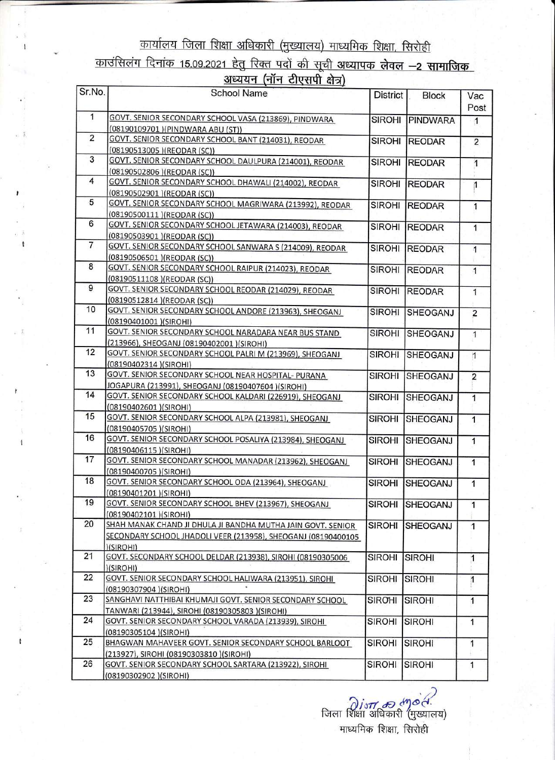## <u>कार्यालय जिला शिक्षा अधिकारी (मुख्यालय) माध्यमिक शिक्षा, सिरोही</u> काउंसिलंग दिनांक 15.09.2021 हेतु रिक्त पदों की सूची अध्यापक लेवल –2 सामाजिक

| <u>अध्ययन (नॉन टीएसपी क्षेत्र)</u> |  |  |
|------------------------------------|--|--|
|                                    |  |  |

| Sr.No.         | <b>School Name</b>                                                                                                                        | <b>District</b> | <b>Block</b>    | Vac<br>Post    |
|----------------|-------------------------------------------------------------------------------------------------------------------------------------------|-----------------|-----------------|----------------|
| $\mathbf{1}$   | GOVT. SENIOR SECONDARY SCHOOL VASA (213869), PINDWARA<br>(08190109701)(PINDWARA ABU (ST))                                                 | <b>SIROHI</b>   | PINDWARA        | $\mathbf{1}$   |
| $\overline{2}$ | GOVT. SENIOR SECONDARY SCHOOL BANT (214031), REODAR<br>(08190513005) (REODAR (SC))                                                        | <b>SIROHI</b>   | <b>REODAR</b>   | $\overline{2}$ |
| 3              | GOVT. SENIOR SECONDARY SCHOOL DAULPURA (214001), REODAR<br>(08190502806) (REODAR (SC))                                                    | <b>SIROHI</b>   | <b>REODAR</b>   | $\overline{1}$ |
| 4              | GOVT. SENIOR SECONDARY SCHOOL DHAWALI (214002), REODAR<br>(08190502901) (REODAR (SC))                                                     | <b>SIROHI</b>   | <b>REODAR</b>   | 1              |
| 5              | GOVT. SENIOR SECONDARY SCHOOL MAGRIWARA (213992), REODAR<br>(08190500111)(REODAR (SC))                                                    | <b>SIROHI</b>   | <b>REODAR</b>   | 1              |
| 6              | GOVT. SENIOR SECONDARY SCHOOL JETAWARA (214003), REODAR<br>(08190503901)(REODAR(SC))                                                      | <b>SIROHI</b>   | <b>REODAR</b>   | $\overline{1}$ |
| 7              | GOVT. SENIOR SECONDARY SCHOOL SANWARA S (214009), REODAR<br>(08190506501)(REODAR (SC))                                                    | <b>SIROHI</b>   | <b>REODAR</b>   | $\mathbf{1}$   |
| 8              | GOVT. SENIOR SECONDARY SCHOOL RAIPUR (214023), REODAR<br>(08190511108) (REODAR (SC))                                                      | <b>SIROHI</b>   | <b>REODAR</b>   | $\overline{1}$ |
| 9              | GOVT. SENIOR SECONDARY SCHOOL REODAR (214029), REODAR<br>(08190512814) (REODAR (SC))                                                      | <b>SIROHI</b>   | <b>REODAR</b>   | $\mathbf{1}$   |
| 10             | GOVT. SENIOR SECONDARY SCHOOL ANDORE (213963), SHEOGANJ<br>(08190401001)(SIROHI)                                                          | <b>SIROHI</b>   | <b>SHEOGANJ</b> | $\overline{2}$ |
| 11             | GOVT. SENIOR SECONDARY SCHOOL NARADARA NEAR BUS STAND<br>(213966), SHEOGANJ (08190402001) (SIROHI)                                        | <b>SIROHI</b>   | SHEOGANJ        | $\mathbf{1}$   |
| 12             | GOVT. SENIOR SECONDARY SCHOOL PALRI M (213969), SHEOGANJ<br>(08190402314)(SIROHI)                                                         | <b>SIROHI</b>   | SHEOGANJ        | $\mathbf{1}$   |
| 13             | GOVT. SENIOR SECONDARY SCHOOL NEAR HOSPITAL- PURANA<br>JOGAPURA (213991), SHEOGANJ (08190407604) (SIROHI)                                 | <b>SIROHI</b>   | SHEOGANJ        | $\overline{2}$ |
| 14             | GOVT. SENIOR SECONDARY SCHOOL KALDARI (226919), SHEOGANJ<br>(08190402601)(SIROHI)                                                         | <b>SIROHI</b>   | SHEOGANJ        | 1              |
| 15             | GOVT. SENIOR SECONDARY SCHOOL ALPA (213981), SHEOGANJ<br>(08190405705)(SIROHI)                                                            | <b>SIROHI</b>   | <b>SHEOGANJ</b> | 1              |
| 16             | GOVT. SENIOR SECONDARY SCHOOL POSALIYA (213984), SHEOGANJ<br>(08190406115)(SIROHI)                                                        | <b>SIROHI</b>   | <b>SHEOGANJ</b> | $\mathbf{1}$   |
| 17             | GOVT. SENIOR SECONDARY SCHOOL MANADAR (213962), SHEOGANJ<br>(08190400705) (SIROHI)                                                        | <b>SIROHI</b>   | SHEOGANJ        | $\mathbf{1}$   |
| 18             | GOVT. SENIOR SECONDARY SCHOOL ODA (213964), SHEOGANJ<br>(08190401201)(SIROHI)                                                             | <b>SIROHI</b>   | SHEOGANJ        | 1              |
| 19             | GOVT. SENIOR SECONDARY SCHOOL BHEV (213967), SHEOGANJ<br>(08190402101)(SIROHI)                                                            | <b>SIROHI</b>   | <b>SHEOGANJ</b> | 1              |
| 20             | SHAH MANAK CHAND JI DHULA JI BANDHA MUTHA JAIN GOVT. SENIOR<br>SECONDARY SCHOOL JHADOLI VEER (213958), SHEOGANJ (08190400105<br>)(SIROHI) | <b>SIROHI</b>   | SHEOGANJ        | $\overline{1}$ |
| 21             | GOVT. SECONDARY SCHOOL DELDAR (213938), SIROHI (08190305006<br>)(SIROHI)                                                                  | <b>SIROHI</b>   | <b>SIROHI</b>   | 1              |
| 22             | GOVT. SENIOR SECONDARY SCHOOL HALIWARA (213951), SIROHI<br>(08190307904)(SIROHI)                                                          | <b>SIROHI</b>   | <b>SIROHI</b>   | 1              |
| 23             | SANGHAVI NATTHIBAI KHUMAJI GOVT. SENIOR SECONDARY SCHOOL<br>TANWARI (213944), SIROHI (08190305803 )(SIROHI)                               | <b>SIROHI</b>   | <b>SIROHI</b>   | $\mathbf{1}$   |
| 24             | GOVT. SENIOR SECONDARY SCHOOL VARADA (213939), SIROHI<br>(08190305104)(SIROHI)                                                            | <b>SIROHI</b>   | <b>SIROHI</b>   | 1              |
| 25             | BHAGWAN MAHAVEER GOVT. SENIOR SECONDARY SCHOOL BARLOOT<br>(213927), SIROHI (08190303810) (SIROHI)                                         | <b>SIROHI</b>   | <b>SIROHI</b>   | $\mathbf{1}$   |
| 26             | GOVT. SENIOR SECONDARY SCHOOL SARTARA (213922), SIROHI<br>(08190302902)(SIROHI)                                                           | <b>SIROHI</b>   | <b>SIROHI</b>   | 1              |

 $\partial$ *ist क ला ली.*<br>जिला शिक्षा अधिकारी (मुख्यालय) माध्यमिक शिक्षा, सिरोही